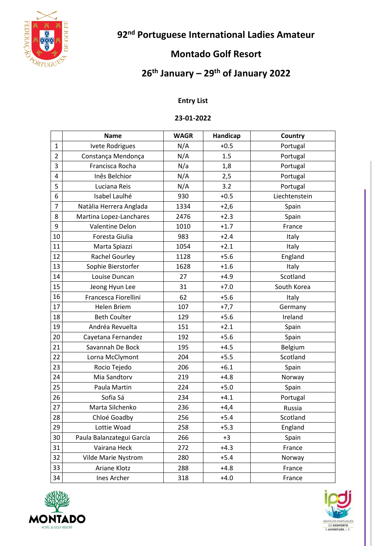

## **th January – 29th of January 2022**

#### **Entry List**

#### **23-01-2022**

|                |                           | <b>WAGR</b> |          |               |
|----------------|---------------------------|-------------|----------|---------------|
|                | <b>Name</b>               |             | Handicap | Country       |
| $\mathbf{1}$   | Ivete Rodrigues           | N/A         | $+0.5$   | Portugal      |
| $\overline{2}$ | Constança Mendonça        | N/A         | 1.5      | Portugal      |
| 3              | Francisca Rocha           | N/a         | 1,8      | Portugal      |
| 4              | Inês Belchior             | N/A         | 2,5      | Portugal      |
| 5              | Luciana Reis              | N/A         | 3.2      | Portugal      |
| 6              | Isabel Laulhé             | 930         | $+0.5$   | Liechtenstein |
| $\overline{7}$ | Natàlia Herrera Anglada   | 1334        | $+2,6$   | Spain         |
| 8              | Martina Lopez-Lanchares   | 2476        | $+2.3$   | Spain         |
| 9              | Valentine Delon           | 1010        | $+1.7$   | France        |
| 10             | Foresta Giulia            | 983         | $+2.4$   | Italy         |
| 11             | Marta Spiazzi             | 1054        | $+2.1$   | Italy         |
| 12             | Rachel Gourley            | 1128        | $+5.6$   | England       |
| 13             | Sophie Bierstorfer        | 1628        | $+1.6$   | Italy         |
| 14             | Louise Duncan             | 27          | $+4.9$   | Scotland      |
| 15             | Jeong Hyun Lee            | 31          | $+7.0$   | South Korea   |
| 16             | Francesca Fiorellini      | 62          | $+5.6$   | Italy         |
| 17             | Helen Briem               | 107         | $+7,7$   | Germany       |
| 18             | <b>Beth Coulter</b>       | 129         | $+5.6$   | Ireland       |
| 19             | Andréa Revuelta           | 151         | $+2.1$   | Spain         |
| 20             | Cayetana Fernandez        | 192         | $+5.6$   | Spain         |
| 21             | Savannah De Bock          | 195         | $+4.5$   | Belgium       |
| 22             | Lorna McClymont           | 204         | $+5.5$   | Scotland      |
| 23             | Rocio Tejedo              | 206         | $+6.1$   | Spain         |
| 24             | Mia Sandtorv              | 219         | $+4.8$   | Norway        |
| 25             | Paula Martin              | 224         | $+5.0$   | Spain         |
| 26             | Sofia Sá                  | 234         | $+4.1$   | Portugal      |
| 27             | Marta Silchenko           | 236         | $+4,4$   | Russia        |
| 28             | Chloé Goadby              | 256         | $+5.4$   | Scotland      |
| 29             | Lottie Woad               | 258         | $+5.3$   | England       |
| 30             | Paula Balanzategui García | 266         | $+3$     | Spain         |
| 31             | Vairana Heck              | 272         | $+4.3$   | France        |
| 32             | Vilde Marie Nystrom       | 280         | $+5.4$   | Norway        |
| 33             | Ariane Klotz              | 288         | $+4.8$   | France        |
| 34             | Ines Archer               | 318         | $+4.0$   | France        |



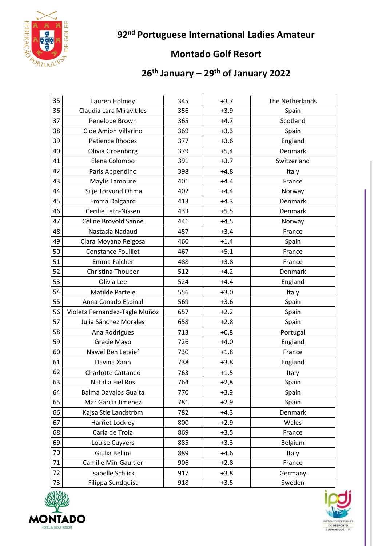

## **th January – 29th of January 2022**

| 35 | Lauren Holmey                 | 345 | $+3.7$ | The Netherlands |
|----|-------------------------------|-----|--------|-----------------|
| 36 | Claudia Lara Miravitlles      | 356 | $+3.9$ | Spain           |
| 37 | Penelope Brown                | 365 | $+4.7$ | Scotland        |
| 38 | Cloe Amion Villarino          | 369 | $+3.3$ | Spain           |
| 39 | Patience Rhodes               | 377 | $+3.6$ | England         |
| 40 | Olivia Groenborg              | 379 | $+5,4$ | Denmark         |
| 41 | Elena Colombo                 | 391 | $+3.7$ | Switzerland     |
| 42 | Paris Appendino               | 398 | $+4.8$ | Italy           |
| 43 | Maylis Lamoure                | 401 | $+4.4$ | France          |
| 44 | Silje Torvund Ohma            | 402 | $+4.4$ | Norway          |
| 45 | Emma Dalgaard                 | 413 | $+4.3$ | Denmark         |
| 46 | Cecilie Leth-Nissen           | 433 | $+5.5$ | Denmark         |
| 47 | Celine Brovold Sanne          | 441 | $+4.5$ | Norway          |
| 48 | Nastasia Nadaud               | 457 | $+3.4$ | France          |
| 49 | Clara Moyano Reigosa          | 460 | $+1,4$ | Spain           |
| 50 | <b>Constance Fouillet</b>     | 467 | $+5.1$ | France          |
| 51 | Emma Falcher                  | 488 | $+3.8$ | France          |
| 52 | Christina Thouber             | 512 | $+4.2$ | Denmark         |
| 53 | Olivia Lee                    | 524 | $+4.4$ | England         |
| 54 | Matilde Partele               | 556 | $+3.0$ | Italy           |
| 55 | Anna Canado Espinal           | 569 | $+3.6$ | Spain           |
| 56 | Violeta Fernandez-Tagle Muñoz | 657 | $+2.2$ | Spain           |
| 57 | Julia Sánchez Morales         | 658 | $+2.8$ | Spain           |
| 58 | Ana Rodrigues                 | 713 | $+0,8$ | Portugal        |
| 59 | Gracie Mayo                   | 726 | $+4.0$ | England         |
| 60 | Nawel Ben Letaief             | 730 | $+1.8$ | France          |
| 61 | Davina Xanh                   | 738 | $+3.8$ | England         |
| 62 | Charlotte Cattaneo            | 763 | $+1.5$ | Italy           |
| 63 | Natalia Fiel Ros              | 764 | $+2,8$ | Spain           |
| 64 | <b>Balma Davalos Guaita</b>   | 770 | $+3,9$ | Spain           |
| 65 | Mar Garcia Jimenez            | 781 | $+2.9$ | Spain           |
| 66 | Kajsa Stie Landström          | 782 | $+4.3$ | Denmark         |
| 67 | Harriet Lockley               | 800 | $+2.9$ | Wales           |
| 68 | Carla de Troia                | 869 | $+3.5$ | France          |
| 69 | Louise Cuyvers                | 885 | $+3.3$ | Belgium         |
| 70 | Giulia Bellini                | 889 | $+4.6$ | Italy           |
| 71 | <b>Camille Min-Gaultier</b>   | 906 | $+2.8$ | France          |
| 72 | Isabelle Schlick              | 917 | $+3.8$ | Germany         |
| 73 | Filippa Sundquist             | 918 | $+3.5$ | Sweden          |



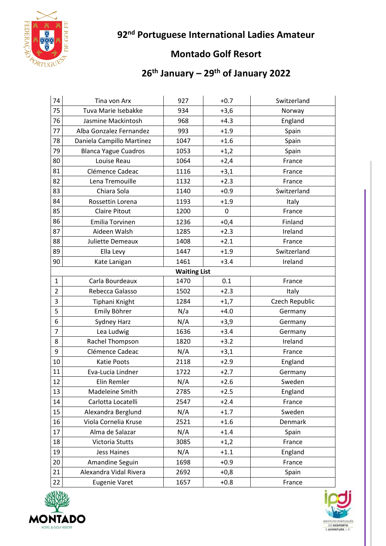

## **th January – 29th of January 2022**

| 74             | Tina von Arx                | 927  | $+0.7$      | Switzerland    |  |  |
|----------------|-----------------------------|------|-------------|----------------|--|--|
| 75             | Tuva Marie Isebakke         | 934  | $+3,6$      | Norway         |  |  |
| 76             | Jasmine Mackintosh          | 968  | $+4.3$      | England        |  |  |
| 77             | Alba Gonzalez Fernandez     | 993  | $+1.9$      | Spain          |  |  |
| 78             | Daniela Campillo Martinez   | 1047 | $+1.6$      | Spain          |  |  |
| 79             | <b>Blanca Yague Cuadros</b> | 1053 | $+1,2$      | Spain          |  |  |
| 80             | Louise Reau                 | 1064 | $+2,4$      | France         |  |  |
| 81             | Clémence Cadeac             | 1116 | $+3,1$      | France         |  |  |
| 82             | Lena Tremouille             | 1132 | $+2.3$      | France         |  |  |
| 83             | Chiara Sola                 | 1140 | $+0.9$      | Switzerland    |  |  |
| 84             | Rossettin Lorena            | 1193 | $+1.9$      | Italy          |  |  |
| 85             | <b>Claire Pitout</b>        | 1200 | $\mathbf 0$ | France         |  |  |
| 86             | Emilia Torvinen             | 1236 | $+0,4$      | Finland        |  |  |
| 87             | Aideen Walsh                | 1285 | $+2.3$      | Ireland        |  |  |
| 88             | Juliette Demeaux            | 1408 | $+2.1$      | France         |  |  |
| 89             | Ella Levy                   | 1447 | $+1.9$      | Switzerland    |  |  |
| 90             | Kate Lanigan                | 1461 | $+3.4$      | Ireland        |  |  |
|                | <b>Waiting List</b>         |      |             |                |  |  |
| $\mathbf{1}$   | Carla Bourdeaux             | 1470 | 0.1         | France         |  |  |
| $\overline{2}$ | Rebecca Galasso             | 1502 | $+2.3$      | Italy          |  |  |
| 3              | Tiphani Knight              | 1284 | $+1,7$      | Czech Republic |  |  |
| 5              | Emily Böhrer                | N/a  | $+4.0$      | Germany        |  |  |
| 6              | <b>Sydney Harz</b>          | N/A  | $+3,9$      | Germany        |  |  |
| $\overline{7}$ | Lea Ludwig                  | 1636 | $+3.4$      | Germany        |  |  |
| 8              | Rachel Thompson             | 1820 | $+3.2$      | Ireland        |  |  |
| 9              | Clémence Cadeac             | N/A  | $+3,1$      | France         |  |  |
| 10             | <b>Katie Poots</b>          | 2118 | $+2.9$      | England        |  |  |
| 11             | Eva-Lucia Lindner           | 1722 | $+2.7$      | Germany        |  |  |
| 12             | Elin Remler                 | N/A  | $+2.6$      | Sweden         |  |  |
| 13             | Madeleine Smith             | 2785 | $+2.5$      | England        |  |  |
| 14             | Carlotta Locatelli          | 2547 | $+2.4$      | France         |  |  |
| 15             | Alexandra Berglund          | N/A  | $+1.7$      | Sweden         |  |  |
| 16             | Viola Cornelia Kruse        | 2521 | $+1.6$      | Denmark        |  |  |
| 17             | Alma de Salazar             | N/A  | $+1.4$      | Spain          |  |  |
| 18             | Victoria Stutts             | 3085 | $+1,2$      | France         |  |  |
| 19             | <b>Jess Haines</b>          | N/A  | $+1.1$      | England        |  |  |
| 20             | Amandine Seguin             | 1698 | $+0.9$      | France         |  |  |
| 21             | Alexandra Vidal Rivera      | 2692 | $+0,8$      | Spain          |  |  |
| 22             | <b>Eugenie Varet</b>        | 1657 | $+0.8$      | France         |  |  |